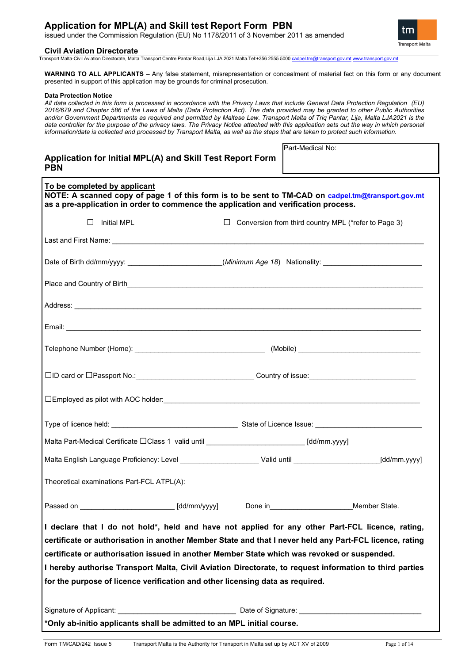# **Application for MPL(A) and Skill test Report Form PBN**

issued under the Commission Regulation (EU) No 1178/2011 of 3 November 2011 as amended

#### **Civil Aviation Directorate**

Transport Malta-Civil Aviation Directorate, Malta Transport Centre,Pantar Road,Lija LJA 2021 Malta.Tel:+356 2555 5000 [cadpel.tm@transport.gov.mt](mailto:cadpel.tm@transport.gov.mt) [www.transport.gov.mt](http://www.transport.gov.mt/)

**WARNING TO ALL APPLICANTS** – Any false statement, misrepresentation or concealment of material fact on this form or any document presented in support of this application may be grounds for criminal prosecution.

#### **Data Protection Notice**

*All data collected in this form is processed in accordance with the Privacy Laws that include General Data Protection Regulation (EU) 2016/679 and Chapter 586 of the Laws of Malta (Data Protection Act). The data provided may be granted to other Public Authorities and/or Government Departments as required and permitted by Maltese Law. Transport Malta of Triq Pantar, Lija, Malta LJA2021 is the*  data controller for the purpose of the privacy laws. The Privacy Notice attached with this application sets out the way in which personal *information/data is collected and processed by Transport Malta, as well as the steps that are taken to protect such information.*

| Application for Initial MPL(A) and Skill Test Report Form |  |
|-----------------------------------------------------------|--|
| <b>PBN</b>                                                |  |

| <b>IPart-Medical No:</b> |
|--------------------------|
|                          |

| To be completed by applicant<br>NOTE: A scanned copy of page 1 of this form is to be sent to TM-CAD on cadpel.tm@transport.gov.mt<br>as a pre-application in order to commence the application and verification process.             |        |                                                      |
|--------------------------------------------------------------------------------------------------------------------------------------------------------------------------------------------------------------------------------------|--------|------------------------------------------------------|
| $\Box$<br>Initial MPL                                                                                                                                                                                                                | $\Box$ | Conversion from third country MPL (*refer to Page 3) |
| Last and First Name: <u>Contract of the Community of the Community of the Community of the Community of the Community of the Community of the Community of the Community of the Community of the Community of the Community of t</u> |        |                                                      |
| Date of Birth dd/mm/yyyy: ________________________(Minimum Age 18) Nationality: ______________________________                                                                                                                       |        |                                                      |
|                                                                                                                                                                                                                                      |        |                                                      |
| Address: <u>Address:</u> Address: Address: Address: Address: Address: Address: Address: Address: Address: Address: Address: Address: Address: Address: Address: Address: Address: Address: Address: Address: Address: Address: Addr  |        |                                                      |
|                                                                                                                                                                                                                                      |        |                                                      |
|                                                                                                                                                                                                                                      |        |                                                      |
| □ID card or □Passport No.:___________________________________Country of issue:________________________________                                                                                                                       |        |                                                      |
|                                                                                                                                                                                                                                      |        |                                                      |
|                                                                                                                                                                                                                                      |        |                                                      |
| Malta Part-Medical Certificate □Class 1 valid until __________________________[dd/mm.yyyy]                                                                                                                                           |        |                                                      |
| Malta English Language Proficiency: Level _______________________Valid until ____________________________(dd/mm.yyyy]                                                                                                                |        |                                                      |
| Theoretical examinations Part-FCL ATPL(A):                                                                                                                                                                                           |        |                                                      |
| Passed on ______________________________[dd/mm/yyyy]                                                                                                                                                                                 |        | Done in Member State.                                |
| I declare that I do not hold*, held and have not applied for any other Part-FCL licence, rating                                                                                                                                      |        |                                                      |
| certificate or authorisation in another Member State and that I never held any Part-FCL licence, rating                                                                                                                              |        |                                                      |
| certificate or authorisation issued in another Member State which was revoked or suspended.                                                                                                                                          |        |                                                      |
| I hereby authorise Transport Malta, Civil Aviation Directorate, to request information to third parties                                                                                                                              |        |                                                      |
| for the purpose of licence verification and other licensing data as required.                                                                                                                                                        |        |                                                      |
|                                                                                                                                                                                                                                      |        |                                                      |
| *Only ab-initio applicants shall be admitted to an MPL initial course.                                                                                                                                                               |        |                                                      |

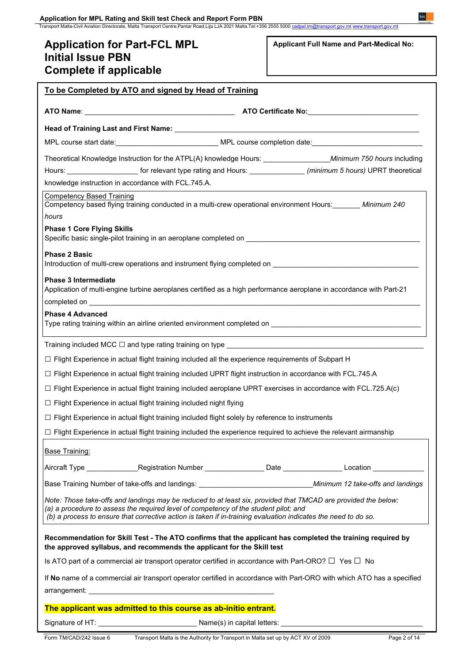# **Application for Part-FCL MPL Initial Issue PBN**

**Applicant Full Name and Part-Medical No:**

| Complete if applicable                                                                                                                                                                                                                                                                                                   |
|--------------------------------------------------------------------------------------------------------------------------------------------------------------------------------------------------------------------------------------------------------------------------------------------------------------------------|
| To be Completed by ATO and signed by Head of Training                                                                                                                                                                                                                                                                    |
|                                                                                                                                                                                                                                                                                                                          |
|                                                                                                                                                                                                                                                                                                                          |
| MPL course start date: ___________________________________ MPL course completion date: ______________________________                                                                                                                                                                                                    |
|                                                                                                                                                                                                                                                                                                                          |
| Hours: ________________________ for relevant type rating and Hours: ________________ (minimum 5 hours) UPRT theoretical                                                                                                                                                                                                  |
| knowledge instruction in accordance with FCL.745.A.                                                                                                                                                                                                                                                                      |
| <b>Competency Based Training</b><br>Competency based flying training conducted in a multi-crew operational environment Hours: _______ Minimum 240                                                                                                                                                                        |
| hours                                                                                                                                                                                                                                                                                                                    |
| <b>Phase 1 Core Flying Skills</b><br>Specific basic single-pilot training in an aeroplane completed on <b>Supering Company of the set of the set of the set of the set of the set of the set of the set of the set of the set of the set of the set of the set of the</b>                                                |
| <b>Phase 2 Basic</b>                                                                                                                                                                                                                                                                                                     |
| <b>Phase 3 Intermediate</b>                                                                                                                                                                                                                                                                                              |
| Application of multi-engine turbine aeroplanes certified as a high performance aeroplane in accordance with Part-21                                                                                                                                                                                                      |
|                                                                                                                                                                                                                                                                                                                          |
| <b>Phase 4 Advanced</b>                                                                                                                                                                                                                                                                                                  |
| Training included MCC $\Box$ and type rating training on type $\_\_\_\_\_\_\_$                                                                                                                                                                                                                                           |
| □ Flight Experience in actual flight training included all the experience requirements of Subpart H                                                                                                                                                                                                                      |
| □ Flight Experience in actual flight training included UPRT flight instruction in accordance with FCL.745.A                                                                                                                                                                                                              |
| $\Box$ Flight Experience in actual flight training included aeroplane UPRT exercises in accordance with FCL.725.A(c)                                                                                                                                                                                                     |
| $\Box$ Flight Experience in actual flight training included night flying                                                                                                                                                                                                                                                 |
| $\Box$ Flight Experience in actual flight training included flight solely by reference to instruments                                                                                                                                                                                                                    |
| $\Box$ Flight Experience in actual flight training included the experience required to achieve the relevant airmanship                                                                                                                                                                                                   |
| <b>Base Training:</b>                                                                                                                                                                                                                                                                                                    |
| Aircraft Type __________________Registration Number __________________Date _________________Location ______________                                                                                                                                                                                                      |
| Base Training Number of take-offs and landings: ________________________________Minimum 12 take-offs and landings                                                                                                                                                                                                        |
| Note: Those take-offs and landings may be reduced to at least six, provided that TMCAD are provided the below:<br>(a) a procedure to assess the required level of competency of the student pilot; and<br>(b) a process to ensure that corrective action is taken if in-training evaluation indicates the need to do so. |
| Recommendation for Skill Test - The ATO confirms that the applicant has completed the training required by<br>the approved syllabus, and recommends the applicant for the Skill test                                                                                                                                     |
| Is ATO part of a commercial air transport operator certified in accordance with Part-ORO? $\Box$ Yes $\Box$ No                                                                                                                                                                                                           |
| If No name of a commercial air transport operator certified in accordance with Part-ORO with which ATO has a specified                                                                                                                                                                                                   |
|                                                                                                                                                                                                                                                                                                                          |
| The applicant was admitted to this course as ab-initio entrant.                                                                                                                                                                                                                                                          |
|                                                                                                                                                                                                                                                                                                                          |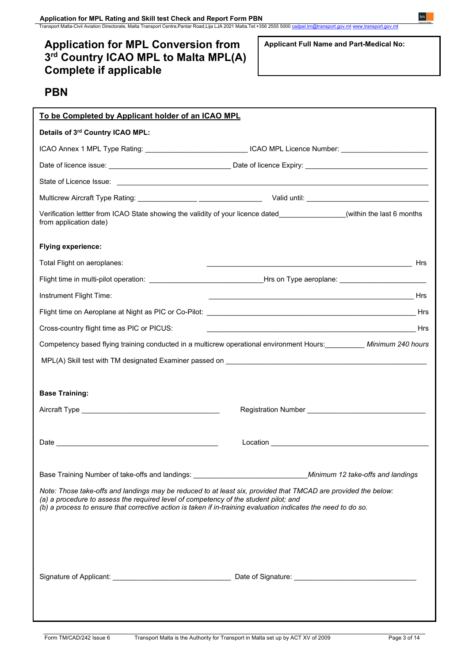**Application for MPL Rating and Skill test Check and Report Form PBN**

Transport Malta-Civil Aviation Directorate, Malta Transport Centre,Pantar Road,Lija LJA 2021 Malta.Tel:+356 2555 5000 <u>[cadpel.tm@transport.gov.mt](mailto:cadpel.tm@transport.gov.mt) www.transport.gov.m</u>t

# **Application for MPL Conversion from 3rd Country ICAO MPL to Malta MPL(A) Complete if applicable**

**Applicant Full Name and Part-Medical No:**

# **PBN**

| To be Completed by Applicant holder of an ICAO MPL                                                                                                                                                                                                                                                                       |                                                                                                                |
|--------------------------------------------------------------------------------------------------------------------------------------------------------------------------------------------------------------------------------------------------------------------------------------------------------------------------|----------------------------------------------------------------------------------------------------------------|
| Details of 3rd Country ICAO MPL:                                                                                                                                                                                                                                                                                         |                                                                                                                |
|                                                                                                                                                                                                                                                                                                                          | ICAO Annex 1 MPL Type Rating: _______________________________ICAO MPL Licence Number: _______________________  |
|                                                                                                                                                                                                                                                                                                                          |                                                                                                                |
|                                                                                                                                                                                                                                                                                                                          |                                                                                                                |
|                                                                                                                                                                                                                                                                                                                          |                                                                                                                |
| Verification lettter from ICAO State showing the validity of your licence dated _______________(within the last 6 months<br>from application date)                                                                                                                                                                       |                                                                                                                |
| <b>Flying experience:</b>                                                                                                                                                                                                                                                                                                |                                                                                                                |
| Total Flight on aeroplanes:                                                                                                                                                                                                                                                                                              |                                                                                                                |
|                                                                                                                                                                                                                                                                                                                          | Flight time in multi-pilot operation: __________________________________Hrs on Type aeroplane: _______________ |
| Instrument Flight Time:                                                                                                                                                                                                                                                                                                  |                                                                                                                |
|                                                                                                                                                                                                                                                                                                                          |                                                                                                                |
| Cross-country flight time as PIC or PICUS:                                                                                                                                                                                                                                                                               |                                                                                                                |
|                                                                                                                                                                                                                                                                                                                          | Competency based flying training conducted in a multicrew operational environment Hours: Minimum 240 hours     |
|                                                                                                                                                                                                                                                                                                                          |                                                                                                                |
|                                                                                                                                                                                                                                                                                                                          |                                                                                                                |
| <b>Base Training:</b>                                                                                                                                                                                                                                                                                                    |                                                                                                                |
|                                                                                                                                                                                                                                                                                                                          |                                                                                                                |
|                                                                                                                                                                                                                                                                                                                          |                                                                                                                |
|                                                                                                                                                                                                                                                                                                                          |                                                                                                                |
|                                                                                                                                                                                                                                                                                                                          |                                                                                                                |
| Base Training Number of take-offs and landings: ________________________________Minimum 12 take-offs and landings                                                                                                                                                                                                        |                                                                                                                |
| Note: Those take-offs and landings may be reduced to at least six, provided that TMCAD are provided the below:<br>(a) a procedure to assess the required level of competency of the student pilot; and<br>(b) a process to ensure that corrective action is taken if in-training evaluation indicates the need to do so. |                                                                                                                |
|                                                                                                                                                                                                                                                                                                                          |                                                                                                                |
|                                                                                                                                                                                                                                                                                                                          |                                                                                                                |
|                                                                                                                                                                                                                                                                                                                          |                                                                                                                |
|                                                                                                                                                                                                                                                                                                                          |                                                                                                                |
|                                                                                                                                                                                                                                                                                                                          |                                                                                                                |
|                                                                                                                                                                                                                                                                                                                          |                                                                                                                |
|                                                                                                                                                                                                                                                                                                                          |                                                                                                                |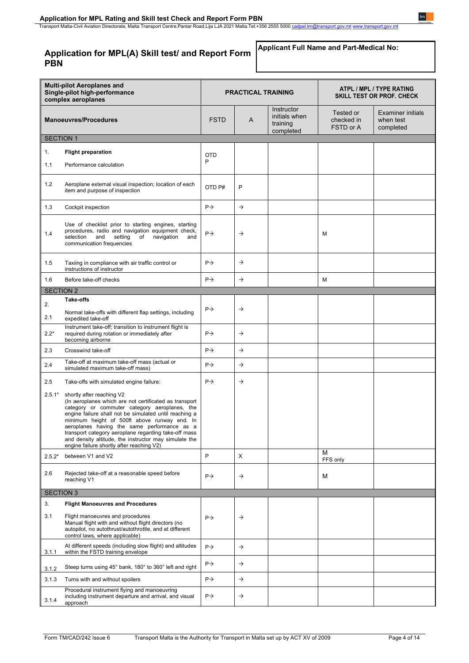# **Application for MPL(A) Skill test/ and Report Form PBN**

**Applicant Full Name and Part-Medical No:**

| <b>Multi-pilot Aeroplanes and</b><br>Single-pilot high-performance<br>complex aeroplanes |                                                                                                                                                                                                                                                                                                                                                                                                                                                             | <b>PRACTICAL TRAINING</b> |               |                                                      | ATPL / MPL / TYPE RATING<br><b>SKILL TEST OR PROF. CHECK</b> |                                             |
|------------------------------------------------------------------------------------------|-------------------------------------------------------------------------------------------------------------------------------------------------------------------------------------------------------------------------------------------------------------------------------------------------------------------------------------------------------------------------------------------------------------------------------------------------------------|---------------------------|---------------|------------------------------------------------------|--------------------------------------------------------------|---------------------------------------------|
|                                                                                          | <b>Manoeuvres/Procedures</b>                                                                                                                                                                                                                                                                                                                                                                                                                                | <b>FSTD</b>               | A             | Instructor<br>initials when<br>training<br>completed | Tested or<br>checked in<br>FSTD or A                         | Examiner initials<br>when test<br>completed |
| <b>SECTION 1</b>                                                                         |                                                                                                                                                                                                                                                                                                                                                                                                                                                             |                           |               |                                                      |                                                              |                                             |
| 1.                                                                                       | <b>Flight preparation</b>                                                                                                                                                                                                                                                                                                                                                                                                                                   | <b>OTD</b>                |               |                                                      |                                                              |                                             |
| 1.1                                                                                      | Performance calculation                                                                                                                                                                                                                                                                                                                                                                                                                                     | P                         |               |                                                      |                                                              |                                             |
| 1.2                                                                                      | Aeroplane external visual inspection; location of each<br>item and purpose of inspection                                                                                                                                                                                                                                                                                                                                                                    | OTD <sub>P#</sub>         | P             |                                                      |                                                              |                                             |
| 1.3                                                                                      | Cockpit inspection                                                                                                                                                                                                                                                                                                                                                                                                                                          | $P \rightarrow$           | $\rightarrow$ |                                                      |                                                              |                                             |
| 1.4                                                                                      | Use of checklist prior to starting engines, starting<br>procedures, radio and navigation equipment check,<br>setting<br>selection<br>and<br>of<br>navigation<br>and<br>communication frequencies                                                                                                                                                                                                                                                            | $P \rightarrow$           | $\rightarrow$ |                                                      | M                                                            |                                             |
| 1.5                                                                                      | Taxiing in compliance with air traffic control or<br>instructions of instructor                                                                                                                                                                                                                                                                                                                                                                             | $P \rightarrow$           | $\rightarrow$ |                                                      |                                                              |                                             |
| 1.6                                                                                      | Before take-off checks                                                                                                                                                                                                                                                                                                                                                                                                                                      | $P \rightarrow$           | $\rightarrow$ |                                                      | М                                                            |                                             |
| <b>SECTION 2</b>                                                                         |                                                                                                                                                                                                                                                                                                                                                                                                                                                             |                           |               |                                                      |                                                              |                                             |
|                                                                                          | <b>Take-offs</b>                                                                                                                                                                                                                                                                                                                                                                                                                                            |                           |               |                                                      |                                                              |                                             |
| 2.<br>2.1                                                                                | Normal take-offs with different flap settings, including<br>expedited take-off                                                                                                                                                                                                                                                                                                                                                                              | $P \rightarrow$           | $\rightarrow$ |                                                      |                                                              |                                             |
| $2.2*$                                                                                   | Instrument take-off; transition to instrument flight is<br>required during rotation or immediately after<br>becoming airborne                                                                                                                                                                                                                                                                                                                               | $P \rightarrow$           | $\rightarrow$ |                                                      |                                                              |                                             |
| 2.3                                                                                      | Crosswind take-off                                                                                                                                                                                                                                                                                                                                                                                                                                          | $P \rightarrow$           | $\rightarrow$ |                                                      |                                                              |                                             |
| 2.4                                                                                      | Take-off at maximum take-off mass (actual or<br>simulated maximum take-off mass)                                                                                                                                                                                                                                                                                                                                                                            | $P \rightarrow$           | $\rightarrow$ |                                                      |                                                              |                                             |
| 2.5                                                                                      | Take-offs with simulated engine failure:                                                                                                                                                                                                                                                                                                                                                                                                                    | $P \rightarrow$           | $\rightarrow$ |                                                      |                                                              |                                             |
| $2.5.1*$                                                                                 | shortly after reaching V2<br>(In aeroplanes which are not certificated as transport<br>category or commuter category aeroplanes, the<br>engine failure shall not be simulated until reaching a<br>minimum height of 500ft above runway end. In<br>aeroplanes having the same performance as a<br>transport category aeroplane regarding take-off mass<br>and density altitude, the instructor may simulate the<br>engine failure shortly after reaching V2) |                           |               |                                                      |                                                              |                                             |
| $2.5.2*$                                                                                 | between V1 and V2                                                                                                                                                                                                                                                                                                                                                                                                                                           | P                         | X             |                                                      | M<br>FFS only                                                |                                             |
| 2.6                                                                                      | Rejected take-off at a reasonable speed before<br>reaching V1                                                                                                                                                                                                                                                                                                                                                                                               | $P \rightarrow$           | $\rightarrow$ |                                                      | М                                                            |                                             |
| <b>SECTION 3</b>                                                                         |                                                                                                                                                                                                                                                                                                                                                                                                                                                             |                           |               |                                                      |                                                              |                                             |
| 3.                                                                                       | <b>Flight Manoeuvres and Procedures</b>                                                                                                                                                                                                                                                                                                                                                                                                                     |                           |               |                                                      |                                                              |                                             |
| 3.1                                                                                      | Flight manoeuvres and procedures<br>Manual flight with and without flight directors (no<br>autopilot, no autothrust/autothrottle, and at different<br>control laws, where applicable)                                                                                                                                                                                                                                                                       | $P\rightarrow$            | $\rightarrow$ |                                                      |                                                              |                                             |
| 3.1.1                                                                                    | At different speeds (including slow flight) and altitudes<br>within the FSTD training envelope                                                                                                                                                                                                                                                                                                                                                              | $P \rightarrow$           | $\rightarrow$ |                                                      |                                                              |                                             |
| 3.1.2                                                                                    | Steep turns using 45° bank, 180° to 360° left and right                                                                                                                                                                                                                                                                                                                                                                                                     | $P \rightarrow$           | $\rightarrow$ |                                                      |                                                              |                                             |
| 3.1.3                                                                                    | Turns with and without spoilers                                                                                                                                                                                                                                                                                                                                                                                                                             | $P \rightarrow$           | $\rightarrow$ |                                                      |                                                              |                                             |
| 3.1.4                                                                                    | Procedural instrument flying and manoeuvring<br>including instrument departure and arrival, and visual<br>approach                                                                                                                                                                                                                                                                                                                                          | $P \rightarrow$           | $\rightarrow$ |                                                      |                                                              |                                             |

 $t m$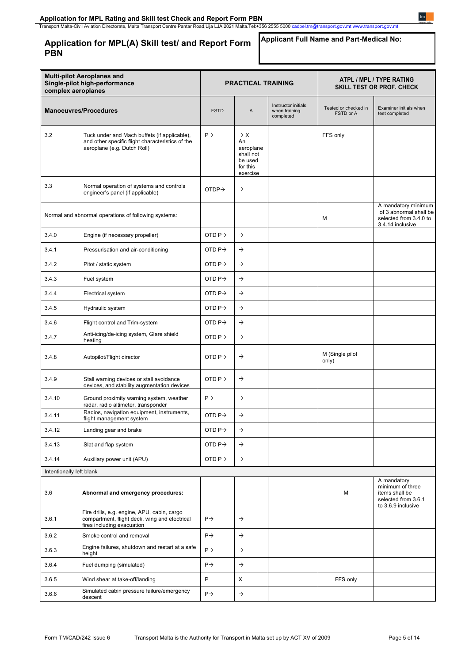**Application for MPL(A) Skill test/ and Report Form PBN**

# **Applicant Full Name and Part-Medical No:**

| <b>Multi-pilot Aeroplanes and</b><br>Single-pilot high-performance<br>complex aeroplanes |                                                                                                                                 | <b>PRACTICAL TRAINING</b> |                                                                                    |                                                   | <b>ATPL / MPL / TYPE RATING</b><br><b>SKILL TEST OR PROF. CHECK</b> |                                                                                                |  |
|------------------------------------------------------------------------------------------|---------------------------------------------------------------------------------------------------------------------------------|---------------------------|------------------------------------------------------------------------------------|---------------------------------------------------|---------------------------------------------------------------------|------------------------------------------------------------------------------------------------|--|
|                                                                                          | <b>Manoeuvres/Procedures</b>                                                                                                    | <b>FSTD</b>               | A                                                                                  | Instructor initials<br>when training<br>completed | Tested or checked in<br>FSTD or A                                   | Examiner initials when<br>test completed                                                       |  |
| 3.2                                                                                      | Tuck under and Mach buffets (if applicable),<br>and other specific flight characteristics of the<br>aeroplane (e.g. Dutch Roll) | $P \rightarrow$           | $\rightarrow$ X<br>An<br>aeroplane<br>shall not<br>be used<br>for this<br>exercise |                                                   | FFS only                                                            |                                                                                                |  |
| 3.3                                                                                      | Normal operation of systems and controls<br>engineer's panel (if applicable)                                                    | OTDP <sub>2</sub>         | $\rightarrow$                                                                      |                                                   |                                                                     |                                                                                                |  |
|                                                                                          | Normal and abnormal operations of following systems:                                                                            |                           |                                                                                    |                                                   | М                                                                   | A mandatory minimum<br>of 3 abnormal shall be<br>selected from 3.4.0 to<br>3.4.14 inclusive    |  |
| 3.4.0                                                                                    | Engine (if necessary propeller)                                                                                                 | OTD $P\rightarrow$        | $\rightarrow$                                                                      |                                                   |                                                                     |                                                                                                |  |
| 3.4.1                                                                                    | Pressurisation and air-conditioning                                                                                             | OTD $P \rightarrow$       | $\rightarrow$                                                                      |                                                   |                                                                     |                                                                                                |  |
| 3.4.2                                                                                    | Pitot / static system                                                                                                           | OTD $P \rightarrow$       | $\rightarrow$                                                                      |                                                   |                                                                     |                                                                                                |  |
| 3.4.3                                                                                    | Fuel system                                                                                                                     | OTD $P\rightarrow$        | $\rightarrow$                                                                      |                                                   |                                                                     |                                                                                                |  |
| 3.4.4                                                                                    | Electrical system                                                                                                               | OTD $P \rightarrow$       | $\rightarrow$                                                                      |                                                   |                                                                     |                                                                                                |  |
| 3.4.5                                                                                    | Hydraulic system                                                                                                                | OTD $P\rightarrow$        | $\rightarrow$                                                                      |                                                   |                                                                     |                                                                                                |  |
| 3.4.6                                                                                    | Flight control and Trim-system                                                                                                  | OTD $P\rightarrow$        | $\rightarrow$                                                                      |                                                   |                                                                     |                                                                                                |  |
| 3.4.7                                                                                    | Anti-icing/de-icing system, Glare shield<br>heating                                                                             | OTD $P \rightarrow$       | $\rightarrow$                                                                      |                                                   |                                                                     |                                                                                                |  |
| 3.4.8                                                                                    | Autopilot/Flight director                                                                                                       | OTD $P \rightarrow$       | $\rightarrow$                                                                      |                                                   | M (Single pilot<br>only)                                            |                                                                                                |  |
| 3.4.9                                                                                    | Stall warning devices or stall avoidance<br>devices, and stability augmentation devices                                         | OTD $P \rightarrow$       | $\rightarrow$                                                                      |                                                   |                                                                     |                                                                                                |  |
| 3.4.10                                                                                   | Ground proximity warning system, weather<br>radar, radio altimeter, transponder                                                 | $P \rightarrow$           | $\rightarrow$                                                                      |                                                   |                                                                     |                                                                                                |  |
| 3.4.11                                                                                   | Radios, navigation equipment, instruments,<br>flight management system                                                          | OTD $P\rightarrow$        | $\rightarrow$                                                                      |                                                   |                                                                     |                                                                                                |  |
| 3.4.12                                                                                   | Landing gear and brake                                                                                                          | OTD $P \rightarrow$       | $\rightarrow$                                                                      |                                                   |                                                                     |                                                                                                |  |
| 3.4.13                                                                                   | Slat and flap system                                                                                                            | OTD $P\rightarrow$        | $\rightarrow$                                                                      |                                                   |                                                                     |                                                                                                |  |
| 3.4.14                                                                                   | Auxiliary power unit (APU)                                                                                                      | OTD P $\rightarrow$       | $\rightarrow$                                                                      |                                                   |                                                                     |                                                                                                |  |
| Intentionally left blank                                                                 |                                                                                                                                 |                           |                                                                                    |                                                   |                                                                     |                                                                                                |  |
| 3.6                                                                                      | Abnormal and emergency procedures:                                                                                              |                           |                                                                                    |                                                   | М                                                                   | A mandatory<br>minimum of three<br>items shall be<br>selected from 3.6.1<br>to 3.6.9 inclusive |  |
| 3.6.1                                                                                    | Fire drills, e.g. engine, APU, cabin, cargo<br>compartment, flight deck, wing and electrical<br>fires including evacuation      | $P \rightarrow$           | $\rightarrow$                                                                      |                                                   |                                                                     |                                                                                                |  |
| 3.6.2                                                                                    | Smoke control and removal                                                                                                       | $P \rightarrow$           | $\rightarrow$                                                                      |                                                   |                                                                     |                                                                                                |  |
| 3.6.3                                                                                    | Engine failures, shutdown and restart at a safe<br>height                                                                       | $P\rightarrow$            | $\rightarrow$                                                                      |                                                   |                                                                     |                                                                                                |  |
| 3.6.4                                                                                    | Fuel dumping (simulated)                                                                                                        | $P \rightarrow$           | $\rightarrow$                                                                      |                                                   |                                                                     |                                                                                                |  |
| 3.6.5                                                                                    | Wind shear at take-off/landing                                                                                                  | P                         | X                                                                                  |                                                   | FFS only                                                            |                                                                                                |  |
| 3.6.6                                                                                    | Simulated cabin pressure failure/emergency<br>descent                                                                           | $P \rightarrow$           | $\rightarrow$                                                                      |                                                   |                                                                     |                                                                                                |  |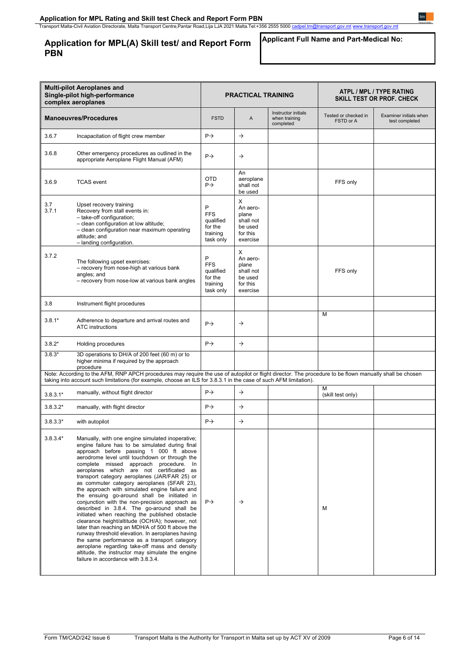# **Application for MPL(A) Skill test/ and Report Form PBN**

### **Applicant Full Name and Part-Medical No:**

| <b>Multi-pilot Aeroplanes and</b><br>Single-pilot high-performance<br>complex aeroplanes |                                                                                                                                                                                                                                                                                                                                                                                                                                                                                                                                                                                                                                                                                                                                                                                                                                                                                                                                                                                                | <b>PRACTICAL TRAINING</b>                                        |                                                                        |                                                   | ATPL / MPL / TYPE RATING<br>SKILL TEST OR PROF. CHECK |                                          |
|------------------------------------------------------------------------------------------|------------------------------------------------------------------------------------------------------------------------------------------------------------------------------------------------------------------------------------------------------------------------------------------------------------------------------------------------------------------------------------------------------------------------------------------------------------------------------------------------------------------------------------------------------------------------------------------------------------------------------------------------------------------------------------------------------------------------------------------------------------------------------------------------------------------------------------------------------------------------------------------------------------------------------------------------------------------------------------------------|------------------------------------------------------------------|------------------------------------------------------------------------|---------------------------------------------------|-------------------------------------------------------|------------------------------------------|
|                                                                                          | <b>Manoeuvres/Procedures</b>                                                                                                                                                                                                                                                                                                                                                                                                                                                                                                                                                                                                                                                                                                                                                                                                                                                                                                                                                                   | <b>FSTD</b>                                                      | A                                                                      | Instructor initials<br>when training<br>completed | Tested or checked in<br>FSTD or A                     | Examiner initials when<br>test completed |
| 3.6.7                                                                                    | Incapacitation of flight crew member                                                                                                                                                                                                                                                                                                                                                                                                                                                                                                                                                                                                                                                                                                                                                                                                                                                                                                                                                           | $P \rightarrow$                                                  | $\rightarrow$                                                          |                                                   |                                                       |                                          |
| 3.6.8                                                                                    | Other emergency procedures as outlined in the<br>appropriate Aeroplane Flight Manual (AFM)                                                                                                                                                                                                                                                                                                                                                                                                                                                                                                                                                                                                                                                                                                                                                                                                                                                                                                     | $P \rightarrow$                                                  | $\rightarrow$                                                          |                                                   |                                                       |                                          |
| 3.6.9                                                                                    | <b>TCAS</b> event                                                                                                                                                                                                                                                                                                                                                                                                                                                                                                                                                                                                                                                                                                                                                                                                                                                                                                                                                                              | <b>OTD</b><br>$P\rightarrow$                                     | An<br>aeroplane<br>shall not<br>be used                                |                                                   | FFS only                                              |                                          |
| 3.7<br>3.7.1                                                                             | Upset recovery training<br>Recovery from stall events in:<br>- take-off configuration;<br>- clean configuration at low altitude;<br>- clean configuration near maximum operating<br>altitude; and<br>- landing configuration.                                                                                                                                                                                                                                                                                                                                                                                                                                                                                                                                                                                                                                                                                                                                                                  | P<br><b>FFS</b><br>qualified<br>for the<br>training<br>task only | х<br>An aero-<br>plane<br>shall not<br>be used<br>for this<br>exercise |                                                   |                                                       |                                          |
| 3.7.2                                                                                    | The following upset exercises:<br>- recovery from nose-high at various bank<br>angles; and<br>- recovery from nose-low at various bank angles                                                                                                                                                                                                                                                                                                                                                                                                                                                                                                                                                                                                                                                                                                                                                                                                                                                  | P<br><b>FFS</b><br>qualified<br>for the<br>training<br>task only | X<br>An aero-<br>plane<br>shall not<br>be used<br>for this<br>exercise |                                                   | FFS only                                              |                                          |
| 3.8                                                                                      | Instrument flight procedures                                                                                                                                                                                                                                                                                                                                                                                                                                                                                                                                                                                                                                                                                                                                                                                                                                                                                                                                                                   |                                                                  |                                                                        |                                                   |                                                       |                                          |
| $3.8.1*$                                                                                 | Adherence to departure and arrival routes and<br><b>ATC</b> instructions                                                                                                                                                                                                                                                                                                                                                                                                                                                                                                                                                                                                                                                                                                                                                                                                                                                                                                                       | $P \rightarrow$                                                  | $\rightarrow$                                                          |                                                   | М                                                     |                                          |
| $3.8.2*$                                                                                 | Holding procedures                                                                                                                                                                                                                                                                                                                                                                                                                                                                                                                                                                                                                                                                                                                                                                                                                                                                                                                                                                             | $P \rightarrow$                                                  | $\rightarrow$                                                          |                                                   |                                                       |                                          |
| $3.8.3*$                                                                                 | 3D operations to DH/A of 200 feet (60 m) or to<br>higher minima if required by the approach<br>procedure                                                                                                                                                                                                                                                                                                                                                                                                                                                                                                                                                                                                                                                                                                                                                                                                                                                                                       |                                                                  |                                                                        |                                                   |                                                       |                                          |
|                                                                                          | Note: According to the AFM, RNP APCH procedures may require the use of autopilot or flight director. The procedure to be flown manually shall be chosen<br>taking into account such limitations (for example, choose an ILS for 3.8.3.1 in the case of such AFM limitation).                                                                                                                                                                                                                                                                                                                                                                                                                                                                                                                                                                                                                                                                                                                   |                                                                  |                                                                        |                                                   |                                                       |                                          |
| $3.8.3.1*$                                                                               | manually, without flight director                                                                                                                                                                                                                                                                                                                                                                                                                                                                                                                                                                                                                                                                                                                                                                                                                                                                                                                                                              | $P \rightarrow$                                                  | $\rightarrow$                                                          |                                                   | М<br>(skill test only)                                |                                          |
| $3.8.3.2*$                                                                               | manually, with flight director                                                                                                                                                                                                                                                                                                                                                                                                                                                                                                                                                                                                                                                                                                                                                                                                                                                                                                                                                                 | $P \rightarrow$                                                  | $\rightarrow$                                                          |                                                   |                                                       |                                          |
| $3.8.3.3*$                                                                               | with autopilot                                                                                                                                                                                                                                                                                                                                                                                                                                                                                                                                                                                                                                                                                                                                                                                                                                                                                                                                                                                 | $P \rightarrow$                                                  | $\rightarrow$                                                          |                                                   |                                                       |                                          |
| $3.8.3.4*$                                                                               | Manually, with one engine simulated inoperative;<br>engine failure has to be simulated during final<br>approach before passing 1 000 ft above<br>aerodrome level until touchdown or through the<br>complete missed approach procedure. In<br>aeroplanes which are not certificated as<br>transport category aeroplanes (JAR/FAR 25) or<br>as commuter category aeroplanes (SFAR 23),<br>the approach with simulated engine failure and<br>the ensuing go-around shall be initiated in<br>conjunction with the non-precision approach as<br>described in 3.8.4. The go-around shall be<br>initiated when reaching the published obstacle<br>clearance height/altitude (OCH/A); however, not<br>later than reaching an MDH/A of 500 ft above the<br>runway threshold elevation. In aeroplanes having<br>the same performance as a transport category<br>aeroplane regarding take-off mass and density<br>altitude, the instructor may simulate the engine<br>failure in accordance with 3.8.3.4. | $P\rightarrow$                                                   | $\rightarrow$                                                          |                                                   | М                                                     |                                          |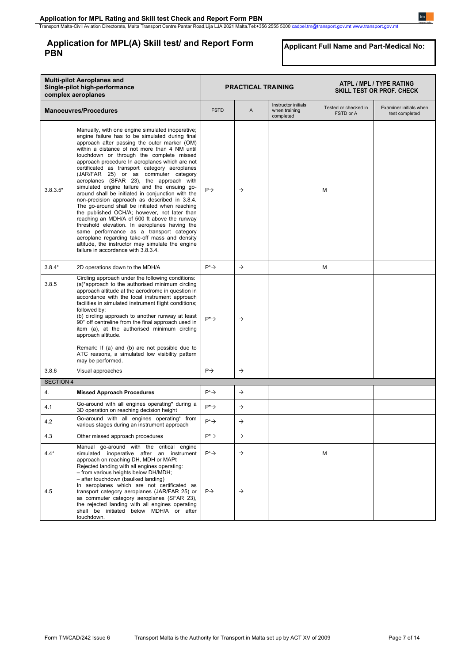# **Application for MPL(A) Skill test/ and Report Form PBN**

**Applicant Full Name and Part-Medical No:**

| <b>Multi-pilot Aeroplanes and</b><br>Single-pilot high-performance<br>complex aeroplanes |                                                                                                                                                                                                                                                                                                                                                                                                                                                                                                                                                                                                                                                                                                                                                                                                                                                                                                                                                                                         | <b>PRACTICAL TRAINING</b> |               |                                                   | ATPL / MPL / TYPE RATING<br><b>SKILL TEST OR PROF. CHECK</b> |                                          |
|------------------------------------------------------------------------------------------|-----------------------------------------------------------------------------------------------------------------------------------------------------------------------------------------------------------------------------------------------------------------------------------------------------------------------------------------------------------------------------------------------------------------------------------------------------------------------------------------------------------------------------------------------------------------------------------------------------------------------------------------------------------------------------------------------------------------------------------------------------------------------------------------------------------------------------------------------------------------------------------------------------------------------------------------------------------------------------------------|---------------------------|---------------|---------------------------------------------------|--------------------------------------------------------------|------------------------------------------|
|                                                                                          | <b>Manoeuvres/Procedures</b>                                                                                                                                                                                                                                                                                                                                                                                                                                                                                                                                                                                                                                                                                                                                                                                                                                                                                                                                                            | <b>FSTD</b>               | A             | Instructor initials<br>when training<br>completed | Tested or checked in<br>FSTD or A                            | Examiner initials when<br>test completed |
| $3.8.3.5*$                                                                               | Manually, with one engine simulated inoperative;<br>engine failure has to be simulated during final<br>approach after passing the outer marker (OM)<br>within a distance of not more than 4 NM until<br>touchdown or through the complete missed<br>approach procedure In aeroplanes which are not<br>certificated as transport category aeroplanes<br>(JAR/FAR 25) or as commuter category<br>aeroplanes (SFAR 23), the approach with<br>simulated engine failure and the ensuing go-<br>around shall be initiated in conjunction with the<br>non-precision approach as described in 3.8.4.<br>The go-around shall be initiated when reaching<br>the published OCH/A; however, not later than<br>reaching an MDH/A of 500 ft above the runway<br>threshold elevation. In aeroplanes having the<br>same performance as a transport category<br>aeroplane regarding take-off mass and density<br>altitude, the instructor may simulate the engine<br>failure in accordance with 3.8.3.4. | $P \rightarrow$           | $\rightarrow$ |                                                   | M                                                            |                                          |
| $3.8.4*$                                                                                 | 2D operations down to the MDH/A                                                                                                                                                                                                                                                                                                                                                                                                                                                                                                                                                                                                                                                                                                                                                                                                                                                                                                                                                         | $P^* \rightarrow$         | $\rightarrow$ |                                                   | M                                                            |                                          |
| 3.8.5                                                                                    | Circling approach under the following conditions:<br>(a)*approach to the authorised minimum circling<br>approach altitude at the aerodrome in question in<br>accordance with the local instrument approach<br>facilities in simulated instrument flight conditions;<br>followed by:<br>(b) circling approach to another runway at least<br>90° off centreline from the final approach used in<br>item (a), at the authorised minimum circling<br>approach altitude.<br>Remark: If (a) and (b) are not possible due to<br>ATC reasons, a simulated low visibility pattern                                                                                                                                                                                                                                                                                                                                                                                                                | $P^* \rightarrow$         | $\rightarrow$ |                                                   |                                                              |                                          |
|                                                                                          | may be performed.                                                                                                                                                                                                                                                                                                                                                                                                                                                                                                                                                                                                                                                                                                                                                                                                                                                                                                                                                                       |                           |               |                                                   |                                                              |                                          |
| 3.8.6                                                                                    | Visual approaches                                                                                                                                                                                                                                                                                                                                                                                                                                                                                                                                                                                                                                                                                                                                                                                                                                                                                                                                                                       | $P\rightarrow$            | $\rightarrow$ |                                                   |                                                              |                                          |
| <b>SECTION 4</b>                                                                         |                                                                                                                                                                                                                                                                                                                                                                                                                                                                                                                                                                                                                                                                                                                                                                                                                                                                                                                                                                                         |                           |               |                                                   |                                                              |                                          |
| 4.                                                                                       | <b>Missed Approach Procedures</b>                                                                                                                                                                                                                                                                                                                                                                                                                                                                                                                                                                                                                                                                                                                                                                                                                                                                                                                                                       | $P^* \rightarrow$         | $\rightarrow$ |                                                   |                                                              |                                          |
| 4.1                                                                                      | Go-around with all engines operating* during a<br>3D operation on reaching decision height                                                                                                                                                                                                                                                                                                                                                                                                                                                                                                                                                                                                                                                                                                                                                                                                                                                                                              | $P^* \rightarrow$         | $\rightarrow$ |                                                   |                                                              |                                          |
| 4.2                                                                                      | Go-around with all engines operating* from<br>various stages during an instrument approach                                                                                                                                                                                                                                                                                                                                                                                                                                                                                                                                                                                                                                                                                                                                                                                                                                                                                              | $P^* \rightarrow$         | $\rightarrow$ |                                                   |                                                              |                                          |
| 4.3                                                                                      | Other missed approach procedures                                                                                                                                                                                                                                                                                                                                                                                                                                                                                                                                                                                                                                                                                                                                                                                                                                                                                                                                                        | $P^* \rightarrow$         | $\rightarrow$ |                                                   |                                                              |                                          |
| $4.4*$                                                                                   | Manual go-around with the critical engine<br>simulated inoperative after an instrument<br>approach on reaching DH, MDH or MAPt                                                                                                                                                                                                                                                                                                                                                                                                                                                                                                                                                                                                                                                                                                                                                                                                                                                          | $P^* \rightarrow$         | $\rightarrow$ |                                                   | M                                                            |                                          |
| 4.5                                                                                      | Rejected landing with all engines operating:<br>- from various heights below DH/MDH;<br>- after touchdown (baulked landing)<br>In aeroplanes which are not certificated as<br>transport category aeroplanes (JAR/FAR 25) or<br>as commuter category aeroplanes (SFAR 23),<br>the rejected landing with all engines operating<br>shall be initiated below MDH/A or after<br>touchdown.                                                                                                                                                                                                                                                                                                                                                                                                                                                                                                                                                                                                   | $P\rightarrow$            | $\rightarrow$ |                                                   |                                                              |                                          |

 $t m$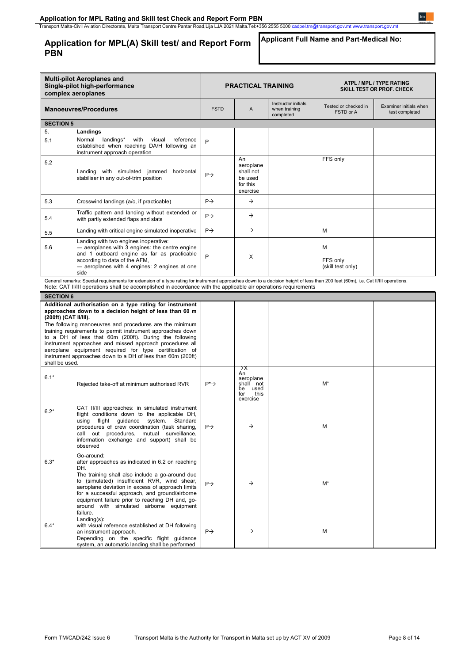**Application for MPL(A) Skill test/ and Report Form PBN**

# **Applicant Full Name and Part-Medical No:**

| <b>Multi-pilot Aeroplanes and</b><br>Single-pilot high-performance<br>complex aeroplanes |                                                                                                                                                                                                                                                                                                                                                                                                                                                                                            | <b>PRACTICAL TRAINING</b> |                                                                             |                                                   | ATPL / MPL / TYPE RATING<br>SKILL TEST OR PROF. CHECK |                                          |
|------------------------------------------------------------------------------------------|--------------------------------------------------------------------------------------------------------------------------------------------------------------------------------------------------------------------------------------------------------------------------------------------------------------------------------------------------------------------------------------------------------------------------------------------------------------------------------------------|---------------------------|-----------------------------------------------------------------------------|---------------------------------------------------|-------------------------------------------------------|------------------------------------------|
|                                                                                          | <b>Manoeuvres/Procedures</b>                                                                                                                                                                                                                                                                                                                                                                                                                                                               | <b>FSTD</b>               | A                                                                           | Instructor initials<br>when training<br>completed | Tested or checked in<br>FSTD or A                     | Examiner initials when<br>test completed |
| <b>SECTION 5</b>                                                                         |                                                                                                                                                                                                                                                                                                                                                                                                                                                                                            |                           |                                                                             |                                                   |                                                       |                                          |
| 5.                                                                                       | Landings                                                                                                                                                                                                                                                                                                                                                                                                                                                                                   |                           |                                                                             |                                                   |                                                       |                                          |
| 5.1                                                                                      | Normal<br>landings*<br>with<br>visual<br>reference<br>established when reaching DA/H following an<br>instrument approach operation                                                                                                                                                                                                                                                                                                                                                         | P                         |                                                                             |                                                   |                                                       |                                          |
| 5.2                                                                                      | Landing with simulated jammed<br>horizontal<br>stabiliser in any out-of-trim position                                                                                                                                                                                                                                                                                                                                                                                                      | $P \rightarrow$           | An<br>aeroplane<br>shall not<br>be used<br>for this<br>exercise             |                                                   | FFS only                                              |                                          |
| 5.3                                                                                      | Crosswind landings (a/c, if practicable)                                                                                                                                                                                                                                                                                                                                                                                                                                                   | $P \rightarrow$           | $\rightarrow$                                                               |                                                   |                                                       |                                          |
| 5.4                                                                                      | Traffic pattern and landing without extended or<br>with partly extended flaps and slats                                                                                                                                                                                                                                                                                                                                                                                                    | $P \rightarrow$           | $\rightarrow$                                                               |                                                   |                                                       |                                          |
| 5.5                                                                                      | Landing with critical engine simulated inoperative                                                                                                                                                                                                                                                                                                                                                                                                                                         | $P \rightarrow$           | $\rightarrow$                                                               |                                                   | М                                                     |                                          |
| 5.6                                                                                      | Landing with two engines inoperative:<br>- aeroplanes with 3 engines: the centre engine<br>and 1 outboard engine as far as practicable<br>according to data of the AFM,<br>- aeroplanes with 4 engines: 2 engines at one<br>side                                                                                                                                                                                                                                                           | P                         | X                                                                           |                                                   | м<br>FFS only<br>(skill test only)                    |                                          |
|                                                                                          | General remarks: Special requirements for extension of a type rating for instrument approaches down to a decision height of less than 200 feet (60m), i.e. Cat II/III operations.<br>Note: CAT II/III operations shall be accomplished in accordance with the applicable air operations requirements                                                                                                                                                                                       |                           |                                                                             |                                                   |                                                       |                                          |
| <b>SECTION 6</b>                                                                         |                                                                                                                                                                                                                                                                                                                                                                                                                                                                                            |                           |                                                                             |                                                   |                                                       |                                          |
| (200ft) (CAT II/III).<br>shall be used.                                                  | Additional authorisation on a type rating for instrument<br>approaches down to a decision height of less than 60 m<br>The following manoeuvres and procedures are the minimum<br>training requirements to permit instrument approaches down<br>to a DH of less that 60m (200ft). During the following<br>instrument approaches and missed approach procedures all<br>aeroplane equipment required for type certification of<br>instrument approaches down to a DH of less than 60m (200ft) |                           |                                                                             |                                                   |                                                       |                                          |
| $6.1*$                                                                                   | Rejected take-off at minimum authorised RVR                                                                                                                                                                                                                                                                                                                                                                                                                                                | $P^* \rightarrow$         | →x<br>An<br>aeroplane<br>shall not<br>used<br>be<br>this<br>for<br>exercise |                                                   | $M^*$                                                 |                                          |
| $6.2*$                                                                                   | CAT II/III approaches: in simulated instrument<br>flight conditions down to the applicable DH,<br>flight<br>guidance<br>Standard<br>using<br>system.<br>procedures of crew coordination (task sharing,<br>call out procedures, mutual surveillance,<br>information exchange and support) shall be<br>observed                                                                                                                                                                              | $P \rightarrow$           | →                                                                           |                                                   | М                                                     |                                          |
| $6.3*$                                                                                   | Go-around:<br>after approaches as indicated in 6.2 on reaching                                                                                                                                                                                                                                                                                                                                                                                                                             |                           |                                                                             |                                                   |                                                       |                                          |
|                                                                                          | DH.<br>The training shall also include a go-around due<br>to (simulated) insufficient RVR, wind shear,<br>aeroplane deviation in excess of approach limits<br>for a successful approach, and ground/airborne<br>equipment failure prior to reaching DH and, go-<br>around with simulated airborne equipment<br>failure.                                                                                                                                                                    | $P \rightarrow$           | $\rightarrow$                                                               |                                                   | M*                                                    |                                          |
| $6.4*$                                                                                   | $Landing(s)$ :<br>with visual reference established at DH following<br>an instrument approach.<br>Depending on the specific flight guidance<br>system, an automatic landing shall be performed                                                                                                                                                                                                                                                                                             | $P \rightarrow$           | $\rightarrow$                                                               |                                                   | м                                                     |                                          |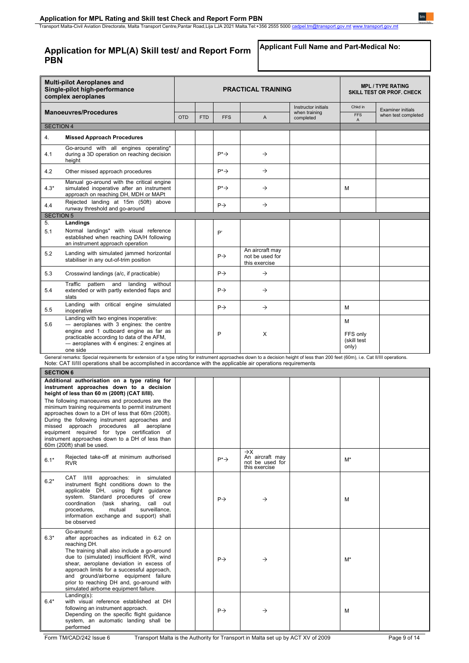# **Application for MPL(A) Skill test/ and Report Form PBN**

**Applicant Full Name and Part-Medical No:**

 $t m$ 

|                  | <b>Multi-pilot Aeroplanes and</b><br>Single-pilot high-performance<br>complex aeroplanes                                                                                                                                                                                                                                                                                                                                                                                                                                                 | <b>PRACTICAL TRAINING</b> |            |                   |                                                                        |                                                   |                                       | <b>MPL / TYPE RATING</b><br>SKILL TEST OR PROF. CHECK |  |
|------------------|------------------------------------------------------------------------------------------------------------------------------------------------------------------------------------------------------------------------------------------------------------------------------------------------------------------------------------------------------------------------------------------------------------------------------------------------------------------------------------------------------------------------------------------|---------------------------|------------|-------------------|------------------------------------------------------------------------|---------------------------------------------------|---------------------------------------|-------------------------------------------------------|--|
|                  | <b>Manoeuvres/Procedures</b>                                                                                                                                                                                                                                                                                                                                                                                                                                                                                                             | <b>OTD</b>                | <b>FTD</b> | <b>FFS</b>        | A                                                                      | Instructor initials<br>when training<br>completed | Chkd in<br><b>FFS</b><br>Α            | <b>Examiner initials</b><br>when test completed       |  |
| <b>SECTION 4</b> |                                                                                                                                                                                                                                                                                                                                                                                                                                                                                                                                          |                           |            |                   |                                                                        |                                                   |                                       |                                                       |  |
| 4.               | <b>Missed Approach Procedures</b>                                                                                                                                                                                                                                                                                                                                                                                                                                                                                                        |                           |            |                   |                                                                        |                                                   |                                       |                                                       |  |
| 4.1              | Go-around with all engines operating*<br>during a 3D operation on reaching decision<br>height                                                                                                                                                                                                                                                                                                                                                                                                                                            |                           |            | $P^* \rightarrow$ | $\rightarrow$                                                          |                                                   |                                       |                                                       |  |
| 4.2              | Other missed approach procedures                                                                                                                                                                                                                                                                                                                                                                                                                                                                                                         |                           |            | $P^* \rightarrow$ | $\rightarrow$                                                          |                                                   |                                       |                                                       |  |
| $4.3*$           | Manual go-around with the critical engine<br>simulated inoperative after an instrument<br>approach on reaching DH, MDH or MAPt                                                                                                                                                                                                                                                                                                                                                                                                           |                           |            | $P^* \rightarrow$ | $\rightarrow$                                                          |                                                   | M                                     |                                                       |  |
| 4.4              | Rejected landing at 15m (50ft) above<br>runway threshold and go-around                                                                                                                                                                                                                                                                                                                                                                                                                                                                   |                           |            | $P\rightarrow$    | $\rightarrow$                                                          |                                                   |                                       |                                                       |  |
| <b>SECTION 5</b> |                                                                                                                                                                                                                                                                                                                                                                                                                                                                                                                                          |                           |            |                   |                                                                        |                                                   |                                       |                                                       |  |
| 5.<br>5.1        | Landings<br>Normal landings* with visual reference<br>established when reaching DA/H following<br>an instrument approach operation                                                                                                                                                                                                                                                                                                                                                                                                       |                           |            | P'                |                                                                        |                                                   |                                       |                                                       |  |
| 5.2              | Landing with simulated jammed horizontal<br>stabiliser in any out-of-trim position                                                                                                                                                                                                                                                                                                                                                                                                                                                       |                           |            | $P \rightarrow$   | An aircraft may<br>not be used for<br>this exercise                    |                                                   |                                       |                                                       |  |
| 5.3              | Crosswind landings (a/c, if practicable)                                                                                                                                                                                                                                                                                                                                                                                                                                                                                                 |                           |            | $P \rightarrow$   | $\rightarrow$                                                          |                                                   |                                       |                                                       |  |
| 5.4              | Traffic<br>pattern and<br>landing<br>without<br>extended or with partly extended flaps and<br>slats                                                                                                                                                                                                                                                                                                                                                                                                                                      |                           |            | $P\rightarrow$    | $\rightarrow$                                                          |                                                   |                                       |                                                       |  |
| 5.5              | Landing with critical engine simulated<br>inoperative                                                                                                                                                                                                                                                                                                                                                                                                                                                                                    |                           |            | $P \rightarrow$   | $\rightarrow$                                                          |                                                   | M                                     |                                                       |  |
| 5.6              | Landing with two engines inoperative:<br>- aeroplanes with 3 engines: the centre<br>engine and 1 outboard engine as far as<br>practicable according to data of the AFM,<br>- aeroplanes with 4 engines: 2 engines at<br>one side                                                                                                                                                                                                                                                                                                         |                           |            | P                 | Х                                                                      |                                                   | М<br>FFS only<br>(skill test<br>only) |                                                       |  |
|                  | General remarks: Special requirements for extension of a type rating for instrument approaches down to a decision height of less than 200 feet (60m), i.e. Cat II/III operations.<br>Note: CAT II/III operations shall be accomplished in accordance with the applicable air operations requirements                                                                                                                                                                                                                                     |                           |            |                   |                                                                        |                                                   |                                       |                                                       |  |
| <b>SECTION 6</b> |                                                                                                                                                                                                                                                                                                                                                                                                                                                                                                                                          |                           |            |                   |                                                                        |                                                   |                                       |                                                       |  |
|                  | Additional authorisation on a type rating for<br>instrument approaches down to a decision<br>height of less than 60 m (200ft) (CAT II/III).<br>The following manoeuvres and procedures are the<br>minimum training requirements to permit instrument<br>approaches down to a DH of less that 60m (200ft).<br>During the following instrument approaches and<br>missed approach procedures all aeroplane<br>equipment required for type certification of<br>instrument approaches down to a DH of less than<br>60m (200ft) shall be used. |                           |            |                   |                                                                        |                                                   |                                       |                                                       |  |
| $6.1*$           | Rejected take-off at minimum authorised<br><b>RVR</b>                                                                                                                                                                                                                                                                                                                                                                                                                                                                                    |                           |            | $P^* \rightarrow$ | $\rightarrow$ X<br>An aircraft may<br>not be used for<br>this exercise |                                                   | $M^*$                                 |                                                       |  |
| $6.2*$           | CAT II/III approaches: in simulated<br>instrument flight conditions down to the<br>applicable DH, using flight guidance<br>system. Standard procedures of crew<br>coordination (task sharing, call out<br>procedures,<br>mutual<br>surveillance,<br>information exchange and support) shall<br>be observed                                                                                                                                                                                                                               |                           |            | $P\rightarrow$    | $\rightarrow$                                                          |                                                   | M                                     |                                                       |  |
| $6.3*$           | Go-around:<br>after approaches as indicated in 6.2 on<br>reaching DH.<br>The training shall also include a go-around<br>due to (simulated) insufficient RVR, wind<br>shear, aeroplane deviation in excess of<br>approach limits for a successful approach,<br>and ground/airborne equipment failure<br>prior to reaching DH and, go-around with<br>simulated airborne equipment failure.                                                                                                                                                 |                           |            | $P\rightarrow$    | $\rightarrow$                                                          |                                                   | M*                                    |                                                       |  |
| $6.4*$           | $Landing(s)$ :<br>with visual reference established at DH<br>following an instrument approach.<br>Depending on the specific flight guidance<br>system, an automatic landing shall be<br>performed                                                                                                                                                                                                                                                                                                                                        |                           |            | $P\rightarrow$    | $\rightarrow$                                                          |                                                   | М                                     |                                                       |  |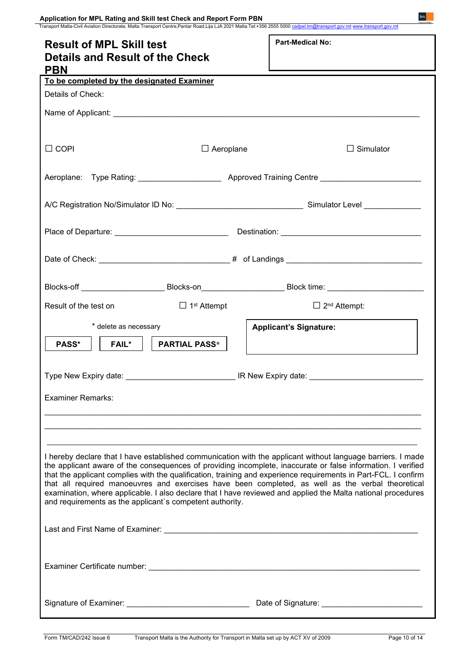| Application for MPL Rating and Skill test Check and Report Form PBN                     |                      | Transport Malta-Civil Aviation Directorate, Malta Transport Centre, Pantar Road, Lija LJA 2021 Malta.Tel:+356 2555 5000 cadpel.tm@transport.gov.mt www.transport.gov.mt                                                                                                                                                                                                                                                                                                                                                                                             |  |  |  |  |  |
|-----------------------------------------------------------------------------------------|----------------------|---------------------------------------------------------------------------------------------------------------------------------------------------------------------------------------------------------------------------------------------------------------------------------------------------------------------------------------------------------------------------------------------------------------------------------------------------------------------------------------------------------------------------------------------------------------------|--|--|--|--|--|
| <b>Result of MPL Skill test</b><br><b>Details and Result of the Check</b><br><b>PBN</b> |                      | <b>Part-Medical No:</b>                                                                                                                                                                                                                                                                                                                                                                                                                                                                                                                                             |  |  |  |  |  |
| To be completed by the designated Examiner                                              |                      |                                                                                                                                                                                                                                                                                                                                                                                                                                                                                                                                                                     |  |  |  |  |  |
| Details of Check:                                                                       |                      |                                                                                                                                                                                                                                                                                                                                                                                                                                                                                                                                                                     |  |  |  |  |  |
|                                                                                         |                      |                                                                                                                                                                                                                                                                                                                                                                                                                                                                                                                                                                     |  |  |  |  |  |
|                                                                                         |                      |                                                                                                                                                                                                                                                                                                                                                                                                                                                                                                                                                                     |  |  |  |  |  |
| $\sqcup$ COPI                                                                           | $\Box$ Aeroplane     | $\Box$ Simulator                                                                                                                                                                                                                                                                                                                                                                                                                                                                                                                                                    |  |  |  |  |  |
|                                                                                         |                      |                                                                                                                                                                                                                                                                                                                                                                                                                                                                                                                                                                     |  |  |  |  |  |
|                                                                                         |                      |                                                                                                                                                                                                                                                                                                                                                                                                                                                                                                                                                                     |  |  |  |  |  |
|                                                                                         |                      |                                                                                                                                                                                                                                                                                                                                                                                                                                                                                                                                                                     |  |  |  |  |  |
|                                                                                         |                      |                                                                                                                                                                                                                                                                                                                                                                                                                                                                                                                                                                     |  |  |  |  |  |
|                                                                                         |                      | Blocks-off ___________________________Blocks-on_________________________Block time: __________________________                                                                                                                                                                                                                                                                                                                                                                                                                                                      |  |  |  |  |  |
| Result of the test on<br>$\Box$ 1 <sup>st</sup> Attempt                                 |                      | $\Box$ 2 <sup>nd</sup> Attempt:                                                                                                                                                                                                                                                                                                                                                                                                                                                                                                                                     |  |  |  |  |  |
| * delete as necessary                                                                   |                      | <b>Applicant's Signature:</b>                                                                                                                                                                                                                                                                                                                                                                                                                                                                                                                                       |  |  |  |  |  |
| PASS*<br>$FAIL^*$                                                                       | <b>PARTIAL PASS*</b> |                                                                                                                                                                                                                                                                                                                                                                                                                                                                                                                                                                     |  |  |  |  |  |
|                                                                                         |                      |                                                                                                                                                                                                                                                                                                                                                                                                                                                                                                                                                                     |  |  |  |  |  |
| <b>Examiner Remarks:</b>                                                                |                      |                                                                                                                                                                                                                                                                                                                                                                                                                                                                                                                                                                     |  |  |  |  |  |
|                                                                                         |                      |                                                                                                                                                                                                                                                                                                                                                                                                                                                                                                                                                                     |  |  |  |  |  |
|                                                                                         |                      |                                                                                                                                                                                                                                                                                                                                                                                                                                                                                                                                                                     |  |  |  |  |  |
| and requirements as the applicant's competent authority.                                |                      | I hereby declare that I have established communication with the applicant without language barriers. I made<br>the applicant aware of the consequences of providing incomplete, inaccurate or false information. I verified<br>that the applicant complies with the qualification, training and experience requirements in Part-FCL. I confirm<br>that all required manoeuvres and exercises have been completed, as well as the verbal theoretical<br>examination, where applicable. I also declare that I have reviewed and applied the Malta national procedures |  |  |  |  |  |
|                                                                                         |                      |                                                                                                                                                                                                                                                                                                                                                                                                                                                                                                                                                                     |  |  |  |  |  |
|                                                                                         |                      |                                                                                                                                                                                                                                                                                                                                                                                                                                                                                                                                                                     |  |  |  |  |  |
|                                                                                         |                      | Date of Signature: Date of Signature:                                                                                                                                                                                                                                                                                                                                                                                                                                                                                                                               |  |  |  |  |  |

**Second**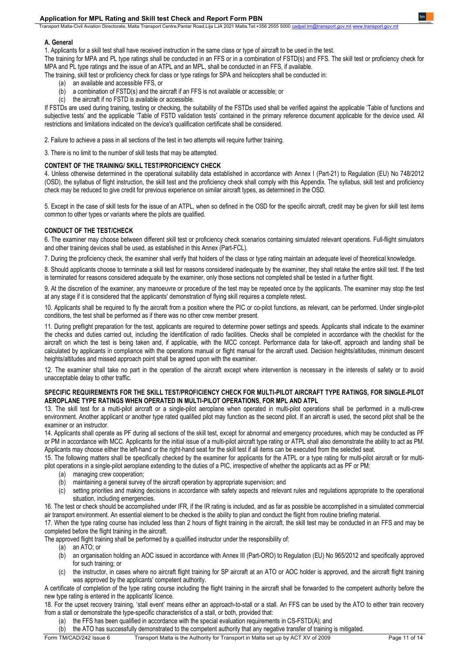#### **Application for MPL Rating and Skill test Check and Report Form PBN**

Transport Malta-Civil Aviation Directorate, Malta Transport Centre,Pantar Road,Lija LJA 2021 Malta.Tel:+356 2555 5000

#### **A. General**

1. Applicants for a skill test shall have received instruction in the same class or type of aircraft to be used in the test.

The training for MPA and PL type ratings shall be conducted in an FFS or in a combination of FSTD(s) and FFS. The skill test or proficiency check for MPA and PL type ratings and the issue of an ATPL and an MPL, shall be conducted in an FFS, if available.

The training, skill test or proficiency check for class or type ratings for SPA and helicopters shall be conducted in:

- (a) an available and accessible FFS, or
- (b) a combination of  $\text{FSTD}(s)$  and the aircraft if an  $\text{FFS}$  is not available or accessible; or (c) the aircraft if no  $\text{FSTD}$  is available or accessible.
- the aircraft if no FSTD is available or accessible.

If FSTDs are used during training, testing or checking, the suitability of the FSTDs used shall be verified against the applicable 'Table of functions and subjective tests' and the applicable 'Table of FSTD validation tests' contained in the primary reference document applicable for the device used. All restrictions and limitations indicated on the device's qualification certificate shall be considered.

2. Failure to achieve a pass in all sections of the test in two attempts will require further training.

3. There is no limit to the number of skill tests that may be attempted.

#### **CONTENT OF THE TRAINING/ SKILL TEST/PROFICIENCY CHECK**

4. Unless otherwise determined in the operational suitability data established in accordance with Annex I (Part-21) to Regulation (EU) No 748/2012 (OSD), the syllabus of flight instruction, the skill test and the proficiency check shall comply with this Appendix. The syllabus, skill test and proficiency check may be reduced to give credit for previous experience on similar aircraft types, as determined in the OSD.

5. Except in the case of skill tests for the issue of an ATPL, when so defined in the OSD for the specific aircraft, credit may be given for skill test items common to other types or variants where the pilots are qualified.

#### **CONDUCT OF THE TEST/CHECK**

6. The examiner may choose between different skill test or proficiency check scenarios containing simulated relevant operations. Full-flight simulators and other training devices shall be used, as established in this Annex (Part-FCL).

7. During the proficiency check, the examiner shall verify that holders of the class or type rating maintain an adequate level of theoretical knowledge.

8. Should applicants choose to terminate a skill test for reasons considered inadequate by the examiner, they shall retake the entire skill test. If the test is terminated for reasons considered adequate by the examiner, only those sections not completed shall be tested in a further flight.

9. At the discretion of the examiner, any manoeuvre or procedure of the test may be repeated once by the applicants. The examiner may stop the test at any stage if it is considered that the applicants' demonstration of flying skill requires a complete retest.

10. Applicants shall be required to fly the aircraft from a position where the PIC or co-pilot functions, as relevant, can be performed. Under single-pilot conditions, the test shall be performed as if there was no other crew member present.

11. During preflight preparation for the test, applicants are required to determine power settings and speeds. Applicants shall indicate to the examiner the checks and duties carried out, including the identification of radio facilities. Checks shall be completed in accordance with the checklist for the aircraft on which the test is being taken and, if applicable, with the MCC concept. Performance data for take-off, approach and landing shall be calculated by applicants in compliance with the operations manual or flight manual for the aircraft used. Decision heights/altitudes, minimum descent heights/altitudes and missed approach point shall be agreed upon with the examiner.

12. The examiner shall take no part in the operation of the aircraft except where intervention is necessary in the interests of safety or to avoid unacceptable delay to other traffic.

#### **SPECIFIC REQUIREMENTS FOR THE SKILL TEST/PROFICIENCY CHECK FOR MULTI-PILOT AIRCRAFT TYPE RATINGS, FOR SINGLE-PILOT AEROPLANE TYPE RATINGS WHEN OPERATED IN MULTI-PILOT OPERATIONS, FOR MPL AND ATPL**

13. The skill test for a multi-pilot aircraft or a single-pilot aeroplane when operated in multi-pilot operations shall be performed in a multi-crew environment. Another applicant or another type rated qualified pilot may function as the second pilot. If an aircraft is used, the second pilot shall be the examiner or an instructor.

14. Applicants shall operate as PF during all sections of the skill test, except for abnormal and emergency procedures, which may be conducted as PF or PM in accordance with MCC. Applicants for the initial issue of a multi-pilot aircraft type rating or ATPL shall also demonstrate the ability to act as PM. Applicants may choose either the left-hand or the right-hand seat for the skill test if all items can be executed from the selected seat.

15. The following matters shall be specifically checked by the examiner for applicants for the ATPL or a type rating for multi-pilot aircraft or for multipilot operations in a single-pilot aeroplane extending to the duties of a PIC, irrespective of whether the applicants act as PF or PM:

- (a) managing crew cooperation;
- (b) maintaining a general survey of the aircraft operation by appropriate supervision; and
- (c) setting priorities and making decisions in accordance with safety aspects and relevant rules and regulations appropriate to the operational situation, including emergencies.

16. The test or check should be accomplished under IFR, if the IR rating is included, and as far as possible be accomplished in a simulated commercial air transport environment. An essential element to be checked is the ability to plan and conduct the flight from routine briefing material.

17. When the type rating course has included less than 2 hours of flight training in the aircraft, the skill test may be conducted in an FFS and may be completed before the flight training in the aircraft.

The approved flight training shall be performed by a qualified instructor under the responsibility of:

(a) an ATO; or

- (b) an organisation holding an AOC issued in accordance with Annex III (Part-ORO) to Regulation (EU) No 965/2012 and specifically approved for such training; or
- (c) the instructor, in cases where no aircraft flight training for SP aircraft at an ATO or AOC holder is approved, and the aircraft flight training was approved by the applicants' competent authority.

A certificate of completion of the type rating course including the flight training in the aircraft shall be forwarded to the competent authority before the new type rating is entered in the applicants' licence.

18. For the upset recovery training, 'stall event' means either an approach-to-stall or a stall. An FFS can be used by the ATO to either train recovery from a stall or demonstrate the type-specific characteristics of a stall, or both, provided that:

- (a) the FFS has been qualified in accordance with the special evaluation requirements in CS-FSTD(A); and
- (b) the ATO has successfully demonstrated to the competent authority that any negative transfer of training is mitigated.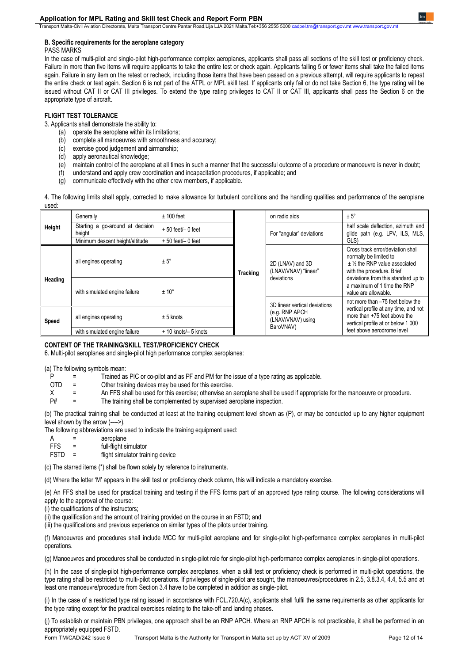Transport Malta-Civil Aviation Directorate, Malta Transport Centre,Pantar Road,Lija LJA 2021 Malta.Tel:+356 2555 5000

#### **B. Specific requirements for the aeroplane category**

#### PASS MARKS

In the case of multi-pilot and single-pilot high-performance complex aeroplanes, applicants shall pass all sections of the skill test or proficiency check. Failure in more than five items will require applicants to take the entire test or check again. Applicants failing 5 or fewer items shall take the failed items again. Failure in any item on the retest or recheck, including those items that have been passed on a previous attempt, will require applicants to repeat the entire check or test again. Section 6 is not part of the ATPL or MPL skill test. If applicants only fail or do not take Section 6, the type rating will be issued without CAT II or CAT III privileges. To extend the type rating privileges to CAT II or CAT III, applicants shall pass the Section 6 on the appropriate type of aircraft.

#### **FLIGHT TEST TOLERANCE**

3. Applicants shall demonstrate the ability to:

- (a) operate the aeroplane within its limitations;
- (b) complete all manoeuvres with smoothness and accuracy;
- (c) exercise good judgement and airmanship;
- (d) apply aeronautical knowledge;
- (e) maintain control of the aeroplane at all times in such a manner that the successful outcome of a procedure or manoeuvre is never in doubt;<br>(f) understand and apply crew coordination and incapacitation procedures, if ap
- understand and apply crew coordination and incapacitation procedures, if applicable; and
- (g) communicate effectively with the other crew members, if applicable.

4. The following limits shall apply, corrected to make allowance for turbulent conditions and the handling qualities and performance of the aeroplane used:

| Height  | Generally                                  | $± 100$ feet            | Tracking | on radio aids                                                                     | $± 5^\circ$                                                                                                                                                                                                                |
|---------|--------------------------------------------|-------------------------|----------|-----------------------------------------------------------------------------------|----------------------------------------------------------------------------------------------------------------------------------------------------------------------------------------------------------------------------|
|         | Starting a go-around at decision<br>height | $+50$ feet $/$ - 0 feet |          | For "angular" deviations                                                          | half scale deflection, azimuth and<br>glide path (e.g. LPV, ILS, MLS,                                                                                                                                                      |
|         | Minimum descent height/altitude            | $+50$ feet/ $-0$ feet   |          |                                                                                   | GLS)                                                                                                                                                                                                                       |
| Heading | all engines operating                      | $± 5^\circ$             |          | 2D (LNAV) and 3D<br>(LNAV/VNAV) "linear"<br>deviations                            | Cross track error/deviation shall<br>normally be limited to<br>$±$ 1/2 the RNP value associated<br>with the procedure. Brief<br>deviations from this standard up to<br>a maximum of 1 time the RNP<br>value are allowable. |
|         | with simulated engine failure              | $± 10^{\circ}$          |          |                                                                                   |                                                                                                                                                                                                                            |
|         |                                            |                         |          | 3D linear vertical deviations<br>(e.g. RNP APCH<br>(LNAV/VNAV) using<br>BaroVNAV) | not more than -75 feet below the<br>vertical profile at any time, and not<br>more than +75 feet above the<br>vertical profile at or below 1 000<br>feet above aerodrome level                                              |
| Speed   | all engines operating                      | $± 5$ knots             |          |                                                                                   |                                                                                                                                                                                                                            |
|         | with simulated engine failure              | + 10 knots/- 5 knots    |          |                                                                                   |                                                                                                                                                                                                                            |

#### **CONTENT OF THE TRAINING/SKILL TEST/PROFICIENCY CHECK**

6. Multi-pilot aeroplanes and single-pilot high performance complex aeroplanes:

(a) The following symbols mean:<br>P = Trained as

- $\overline{P}$  =  $\overline{P}$  Trained as PIC or co-pilot and as PF and PM for the issue of a type rating as applicable.<br>OTD = Other training devices may be used for this exercise.
- = Other training devices may be used for this exercise.
- X = An FFS shall be used for this exercise; otherwise an aeroplane shall be used if appropriate for the manoeuvre or procedure.<br>P# = The training shall be complemented by supervised aeroplane inspection.
- = The training shall be complemented by supervised aeroplane inspection.

(b) The practical training shall be conducted at least at the training equipment level shown as (P), or may be conducted up to any higher equipment level shown by the arrow (---->).

The following abbreviations are used to indicate the training equipment used:

- $A =$  aeroplane<br>FFS = full-flight s
- full-flight simulator
- FSTD = flight simulator training device

(c) The starred items (\*) shall be flown solely by reference to instruments.

(d) Where the letter 'M' appears in the skill test or proficiency check column, this will indicate a mandatory exercise.

(e) An FFS shall be used for practical training and testing if the FFS forms part of an approved type rating course. The following considerations will apply to the approval of the course:

(i) the qualifications of the instructors;

(ii) the qualification and the amount of training provided on the course in an FSTD; and

(iii) the qualifications and previous experience on similar types of the pilots under training.

(f) Manoeuvres and procedures shall include MCC for multi-pilot aeroplane and for single-pilot high-performance complex aeroplanes in multi-pilot operations.

(g) Manoeuvres and procedures shall be conducted in single-pilot role for single-pilot high-performance complex aeroplanes in single-pilot operations.

(h) In the case of single-pilot high-performance complex aeroplanes, when a skill test or proficiency check is performed in multi-pilot operations, the type rating shall be restricted to multi-pilot operations. If privileges of single-pilot are sought, the manoeuvres/procedures in 2.5, 3.8.3.4, 4.4, 5.5 and at least one manoeuvre/procedure from Section 3.4 have to be completed in addition as single-pilot.

(i) In the case of a restricted type rating issued in accordance with FCL.720.A(c), applicants shall fulfil the same requirements as other applicants for the type rating except for the practical exercises relating to the take-off and landing phases.

(j) To establish or maintain PBN privileges, one approach shall be an RNP APCH. Where an RNP APCH is not practicable, it shall be performed in an appropriately equipped FSTD.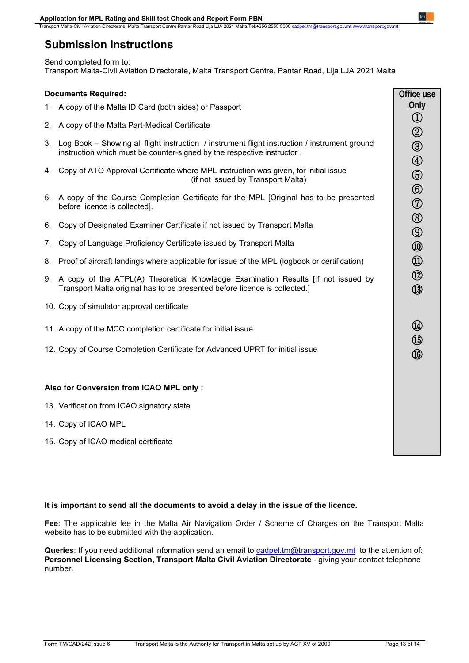nsport Malta-Civil Aviation Directorate, Malta Transport Centre,Pantar Road,Lija LJA 2021 Malta.Tel:+356 2555 5000 c

# **Submission Instructions**

Send completed form to: Transport Malta-Civil Aviation Directorate, Malta Transport Centre, Pantar Road, Lija LJA 2021 Malta

### **Documents Required:** 1. A copy of the Malta ID Card (both sides) or Passport 2. A copy of the Malta Part-Medical Certificate 3. Log Book – Showing all flight instruction / instrument flight instruction / instrument ground instruction which must be counter-signed by the respective instructor . 4. Copy of ATO Approval Certificate where MPL instruction was given, for initial issue (if not issued by Transport Malta) 5. A copy of the Course Completion Certificate for the MPL [Original has to be presented before licence is collected]. 6. Copy of Designated Examiner Certificate if not issued by Transport Malta 7. Copy of Language Proficiency Certificate issued by Transport Malta 8. Proof of aircraft landings where applicable for issue of the MPL (logbook or certification) 9. A copy of the ATPL(A) Theoretical Knowledge Examination Results [If not issued by Transport Malta original has to be presented before licence is collected.] 10. Copy of simulator approval certificate 11. A copy of the MCC completion certificate for initial issue 12. Copy of Course Completion Certificate for Advanced UPRT for initial issue **Also for Conversion from ICAO MPL only :** 13. Verification from ICAO signatory state 14. Copy of ICAO MPL 15. Copy of ICAO medical certificate **Office use Only** ① ② ③ ④ ⑤ ⑥ ⑦ ⑧ ⑨ ⑩ ⑪ ⑫ ⑬ ⑭ ⑮ ⑯

## **It is important to send all the documents to avoid a delay in the issue of the licence.**

**Fee**: The applicable fee in the Malta Air Navigation Order / Scheme of Charges on the Transport Malta website has to be submitted with the application.

**Queries**: If you need additional information send an email to [cadpel.tm@transport.gov.mt](mailto:cadpel.tm@transport.gov.mt) to the attention of: **Personnel Licensing Section, Transport Malta Civil Aviation Directorate - giving your contact telephone** number.